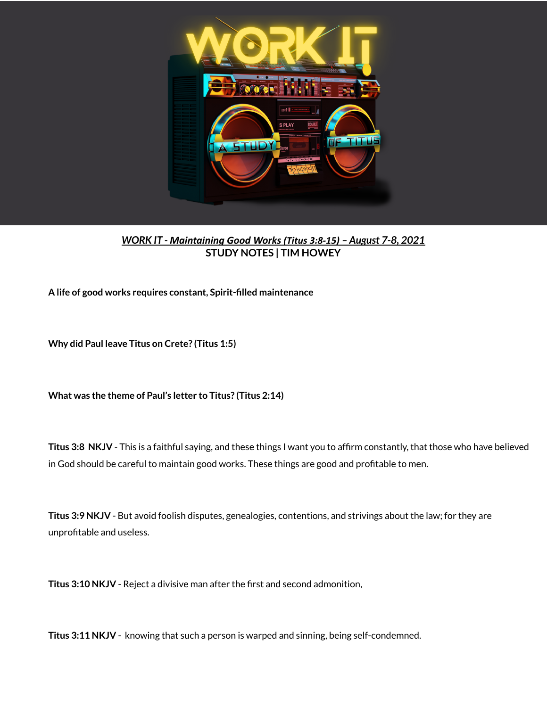

## *WORK IT - Maintaining Good Works (Titus 3:8-15) – August 7-8, 2021* **STUDY NOTES | TIM HOWEY**

**A life of good works requires constant, Spirit-filled maintenance**

**Why did Paul leave Titus on Crete? (Titus 1:5)**

**What was the theme of Paul's letter to Titus? (Titus 2:14)**

**Titus 3:8 NKJV** - This is a faithful saying, and these things I want you to affirm constantly, that those who have believed in God should be careful to maintain good works. These things are good and profitable to men.

**Titus 3:9 NKJV** - But avoid foolish disputes, genealogies, contentions, and strivings about the law; for they are unprofitable and useless.

**Titus 3:10 NKJV** - Reject a divisive man after the first and second admonition,

**Titus 3:11 NKJV** - knowing that such a person is warped and sinning, being self-condemned.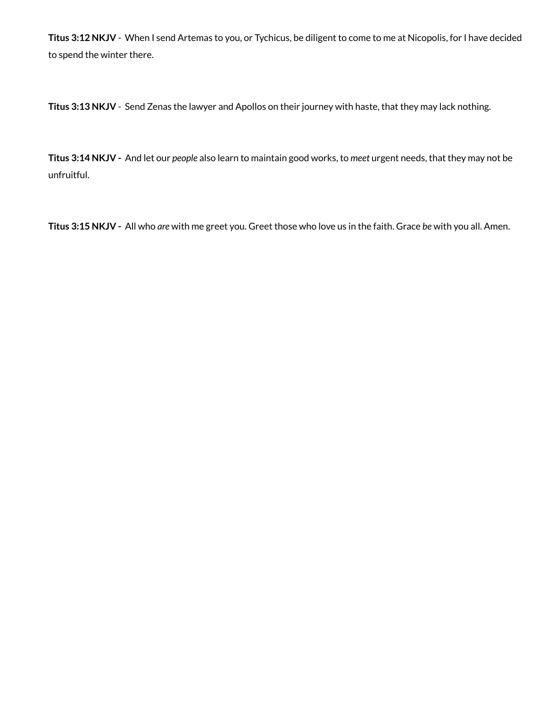**Titus 3:12 NKJV** - When I send Artemas to you, or Tychicus, be diligent to come to me at Nicopolis, for I have decided to spend the winter there.

**Titus 3:13 NKJV** - Send Zenas the lawyer and Apollos on their journey with haste, that they may lack nothing.

**Titus 3:14 NKJV -** And let our *people* also learn to maintain good works, to *meet* urgent needs, that they may not be unfruitful.

**Titus 3:15 NKJV -** All who *are* with me greet you. Greet those who love us in the faith. Grace *be* with you all. Amen.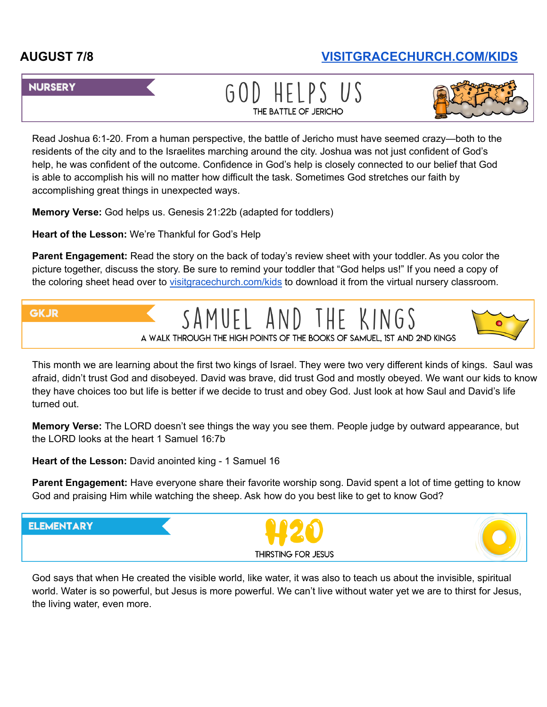## **AUGUST 7/8 [VISITGRACECHURCH.COM/KIDS](https://visitgracechurch.com/kids)**

## **NURSERY**

GOD HELPS US THE BATTLE OF JERICHO



Read Joshua 6:1-20. From a human perspective, the battle of Jericho must have seemed crazy—both to the residents of the city and to the Israelites marching around the city. Joshua was not just confident of God's help, he was confident of the outcome. Confidence in God's help is closely connected to our belief that God is able to accomplish his will no matter how difficult the task. Sometimes God stretches our faith by accomplishing great things in unexpected ways.

**Memory Verse:** God helps us. Genesis 21:22b (adapted for toddlers)

**Heart of the Lesson:** We're Thankful for God's Help

**Parent Engagement:** Read the story on the back of today's review sheet with your toddler. As you color the picture together, discuss the story. Be sure to remind your toddler that "God helps us!" If you need a copy of the coloring sheet head over to [visitgracechurch.com/kids](https://visitgracechurch.com/kids) to download it from the virtual nursery classroom.



This month we are learning about the first two kings of Israel. They were two very different kinds of kings. Saul was afraid, didn't trust God and disobeyed. David was brave, did trust God and mostly obeyed. We want our kids to know they have choices too but life is better if we decide to trust and obey God. Just look at how Saul and David's life turned out.

**Memory Verse:** The LORD doesn't see things the way you see them. People judge by outward appearance, but the LORD looks at the heart 1 Samuel 16:7b

**Heart of the Lesson:** David anointed king - 1 Samuel 16

**Parent Engagement:** Have everyone share their favorite worship song. David spent a lot of time getting to know God and praising Him while watching the sheep. Ask how do you best like to get to know God?



God says that when He created the visible world, like water, it was also to teach us about the invisible, spiritual world. Water is so powerful, but Jesus is more powerful. We can't live without water yet we are to thirst for Jesus, the living water, even more.